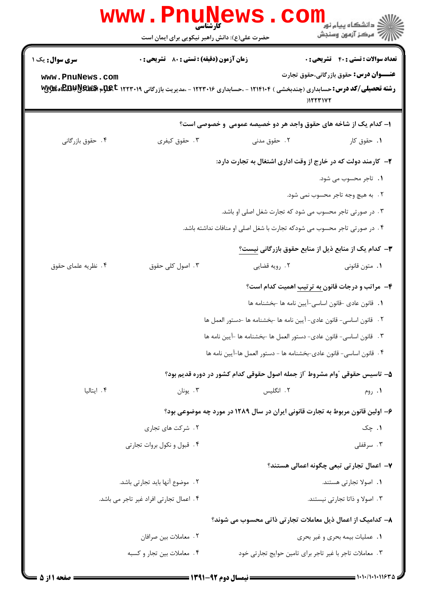|                        | كأرشناسي<br>حضرت علی(ع): دانش راهبر نیکویی برای ایمان است |               | <mark>ک دانشکاه پیام نور</mark><br>ج ' مرڪز آزمون وسنڊش                                                                                                                |
|------------------------|-----------------------------------------------------------|---------------|------------------------------------------------------------------------------------------------------------------------------------------------------------------------|
| <b>سری سوال :</b> یک ۱ | <b>زمان آزمون (دقیقه) : تستی : 80 ٪ تشریحی : 0</b>        |               | <b>تعداد سوالات : تستی : 40 قشریحی : 0</b>                                                                                                                             |
| www.PnuNews.com        |                                                           |               | <b>عنـــوان درس:</b> حقوق بازرگانی،حقوق تجارت<br><b>رشته تحصیلی/کد درس:</b> حسابداری (چندبخشی ) ۱۲۱۴۱۰۴ - ،حسابداری ۱۲۲۳۰۱۶ - ،مدیریت بازرگانی ۱۲۳۳۱۹ PAR بهPEBP بهPEB |
|                        |                                                           |               | ۱– کدام یک از شاخه های حقوق واجد هر دو خصیصه عمومی و خصوصی است؟                                                                                                        |
| ۰۴ حقوق بازرگانی       | ۰۳ حقوق کیفری                                             | ۲.۔ حقوق مدنی | ۰۱ حقوق کار                                                                                                                                                            |
|                        |                                                           |               | ۲- کارمند دولت که در خارج از وقت اداری اشتغال به تجارت دارد:                                                                                                           |
|                        |                                                           |               | 1. تاجر محسوب می شود.                                                                                                                                                  |
|                        |                                                           |               | ٢. به هيچ وجه تاجر محسوب نمي شود.                                                                                                                                      |
|                        |                                                           |               | ۰۳ در صورتی تاجر محسوب می شود که تجارت شغل اصلی او باشد.                                                                                                               |
|                        |                                                           |               | ۰۴ در صورتی تاجر محسوب می شودکه تجارت با شغل اصلی او منافات نداشته باشد.                                                                                               |
|                        |                                                           |               | <b>۳</b> — کدام یک از منابع ذیل از منابع حقوق بازرگانی نیست؟                                                                                                           |
| ۰۴ نظریه علمای حقوق    | ۰۳ اصول کلی حقوق                                          | ۰۲ رويه قضايي | ۰۱ متون قانونی                                                                                                                                                         |
|                        |                                                           |               | <b>۴</b> - مراتب و درجات قانون به ترتیب اهمیت کدام است؟                                                                                                                |
|                        |                                                           |               | ٠١. قانون عادي -قانون اساسي-آيين نامه ها -بخشنامه ها                                                                                                                   |
|                        |                                                           |               | ٠٢ قانون اساسي- قانون عادي- آيين نامه ها -بخشنامه ها -دستور العمل ها                                                                                                   |
|                        |                                                           |               | ٣. قانون اساسي- قانون عادي- دستور العمل ها -بخشنامه ها -آيين نامه ها                                                                                                   |
|                        |                                                           |               | ۴ . قانون اساسي- قانون عادي-بخشنامه ها - دستور العمل ها-آيين نامه ها                                                                                                   |
|                        |                                                           |               | ۵– تاسیس حقوقی ″وام مشروط ″از جمله اصول حقوقی کدام کشور در دوره قدیم بود؟                                                                                              |
| ۰۴ ایتالیا             | ۰۳ يونان                                                  | ۲. انگلیس     | ۰۱ روم                                                                                                                                                                 |
|                        |                                                           |               | ۶- اولین قانون مربوط به تجارت قانونی ایران در سال ۱۲۸۹ در مورد چه موضوعی بود؟                                                                                          |
|                        | ۰۲ شرکت های تجاری                                         |               | ۱. چک                                                                                                                                                                  |
|                        | ۰۴ قبول و نکول بروات تجارتی                               |               | ۰۳ سرقفلی                                                                                                                                                              |
|                        |                                                           |               | ۷– اعمال تجارتی تبعی چگونه اعمالی هستند؟                                                                                                                               |
|                        | ٢. موضوع آنها بايد تجارتي باشد.                           |               | ٠١. اصولا تجارتي هستند.                                                                                                                                                |
|                        | ۰۴ اعمال تجارتي افراد غير تاجر مي باشد.                   |               | ۰۳ اصولا و ذاتا تجارتی نیستند.                                                                                                                                         |
|                        |                                                           |               | ۸– کدامیک از اعمال ذیل معاملات تجارتی ذاتی محسوب می شوند؟                                                                                                              |
|                        | ٠٢ معاملات بين صرافان                                     |               | ۰۱ عملیات بیمه بحری و غیر بحری                                                                                                                                         |
|                        | ۰۴ معاملات بين تجار و كسبه                                |               | ۰۳ معاملات تاجر با غیر تاجر برای تامین حوایج تجارتی خود                                                                                                                |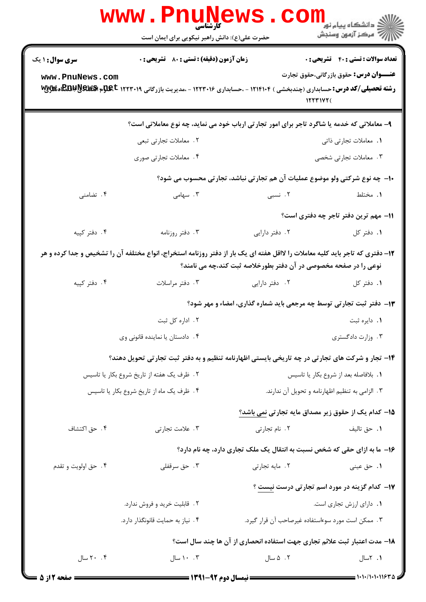|                        | WWW . PI<br>کارشناسی<br>حضرت علی(ع): دانش راهبر نیکویی برای ایمان است                                                                    |                                                                  | ڈ دانشگاہ پیام نور<br><i>إل<sup>7</sup> مرڪ</i> ز آزمون وسنڊش              |
|------------------------|------------------------------------------------------------------------------------------------------------------------------------------|------------------------------------------------------------------|----------------------------------------------------------------------------|
| <b>سری سوال : ۱ یک</b> | <b>زمان آزمون (دقیقه) : تستی : 80 ٪ تشریحی : 0</b>                                                                                       |                                                                  | <b>تعداد سوالات : تستی : 40 قشریحی : 0</b>                                 |
| www.PnuNews.com        | <b>رشته تحصیلی/کد درس:</b> حسابداری (چندبخشی ) ۱۲۱۴۱۰۴ - ،حسابداری ۱۲۲۳۰۱۶ - ،مدیریت بازرگانی ۱۲۳۳۰۱۹ <b>EBI!RE&amp;E وگلایی (EBI!RE</b> |                                                                  | <b>عنـــوان درس:</b> حقوق بازرگانی،حقوق تجارت<br>15571477                  |
|                        | ۹- معاملاتی که خدمه یا شاگرد تاجر برای امور تجارتی ارباب خود می نماید، چه نوع معاملاتی است؟                                              |                                                                  |                                                                            |
|                        | ۲. معاملات تجارتی تبعی                                                                                                                   |                                                                  | 1. معاملات تجارتي ذاتي                                                     |
|                        | ۰۴ معاملات تجارتی صوری                                                                                                                   |                                                                  | ۰۳ معاملات تجارتی شخصی                                                     |
|                        |                                                                                                                                          |                                                                  | ۱۰- چه نوع شرکتی ولو موضوع عملیات آن هم تجارتی نباشد، تجارتی محسوب می شود؟ |
| ۰۴ تضامنی              | ۰۳ سهامی                                                                                                                                 | ۲. نسبی                                                          | ۰۱ مختلط                                                                   |
|                        |                                                                                                                                          |                                                                  | 11– مهم ترین دفتر تاجر چه دفتری است؟                                       |
| ۰۴ دفتر کپیه           | ۰۳ دفتر روزنامه                                                                                                                          | ۰۲ دفتر دارایی                                                   | ٠١. دفتر كل                                                                |
|                        | ۱۲- دفتری که تاجر باید کلیه معاملات را لااقل هفته ای یک بار از دفتر روزنامه استخراج، انواع مختلفه آن را تشخیص و جدا کرده و هر            | نوعی را در صفحه مخصوصی در آن دفتر بطورخلاصه ثبت کند،چه می نامند؟ |                                                                            |
| ۰۴ دفتر کپیه           | ۰۳ دفتر مراسلات                                                                                                                          | ۰۲ دفتر دارایی                                                   | ٠١. دفتر كل                                                                |
|                        |                                                                                                                                          |                                                                  | ۱۳- دفتر ثبت تجارتی توسط چه مرجعی باید شماره گذاری، امضاء و مهر شود؟       |
|                        | ۰۲ اداره کل ثبت                                                                                                                          |                                                                  | ٠١. دايره ثبت                                                              |
|                        | ۰۴ دادستان یا نماینده قانونی وی                                                                                                          |                                                                  | ۰۳ وزارت دادگستری                                                          |
|                        | ۱۴- تجار و شرکت های تجارتی در چه تاریخی بایستی اظهارنامه تنظیم و به دفتر ثبت تجارتی تحویل دهند؟                                          |                                                                  |                                                                            |
|                        | ٠١. بلافاصله بعد از شروع بكار يا تاسيس<br>۲. ظرف یک هفته از تاریخ شروع بکار یا تاسیس                                                     |                                                                  |                                                                            |
|                        | ۰۴ ظرف یک ماه از تاریخ شروع بکار یا تاسیس                                                                                                |                                                                  | ۰۳ الزامی به تنظیم اظهارنامه و تحویل آن ندارند.                            |
|                        |                                                                                                                                          |                                                                  | 1۵– کدام یک از حقوق زیر مصداق مایه تجارتی نمی باشد؟                        |
| ۰۴ حق اکتشاف           | ۰۳ علامت تجارتی                                                                                                                          | ۰۲ نام تجارتی                                                    | ٠١. حق تاليف                                                               |
|                        |                                                                                                                                          |                                                                  | ۱۶- ما به ازای حقی که شخص نسبت به انتقال یک ملک تجاری دارد، چه نام دارد؟   |
| ۰۴ حق اولويت و تقدم    | ۰۳ حق سرقفلی                                                                                                                             | ۰۲ مایه تجارتی                                                   | ۰۱ حق عینی                                                                 |
|                        |                                                                                                                                          |                                                                  | ۱۷- کدام گزینه در مورد اسم تجارتی درست نیست ؟                              |
|                        | ۲. قابلیت خرید و فروش ندارد.                                                                                                             |                                                                  | ٠١. داراي ارزش تجاري است.                                                  |
|                        | ۰۴ نیاز به حمایت قانونگذار دارد.                                                                                                         |                                                                  | ۰۳ ممکن است مورد سوءاستفاده غیرصاحب آن قرار گیرد.                          |
|                        |                                                                                                                                          |                                                                  | ۱۸– مدت اعتبار ثبت علائم تجاری جهت استفاده انحصاری از آن ها چند سال است؟   |
| ۲۰ ۲۰ سال              | ۰۰ . ۲ سال                                                                                                                               | ۰۲ ۵ سال                                                         | ۰۱ ۲سال                                                                    |
| = صفحه 12: 5 =         |                                                                                                                                          |                                                                  |                                                                            |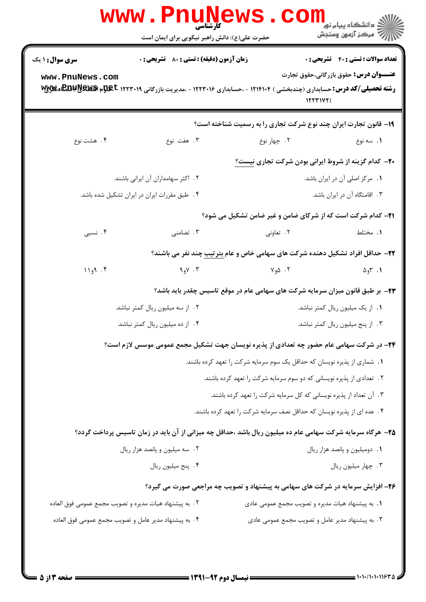| <b>سری سوال : ۱ یک</b>                                 | <b>زمان آزمون (دقیقه) : تستی : 80 ٪ تشریحی : 0</b>     |                                                                                                                                                   | <b>تعداد سوالات : تستی : 40 قشریحی : 0</b>     |
|--------------------------------------------------------|--------------------------------------------------------|---------------------------------------------------------------------------------------------------------------------------------------------------|------------------------------------------------|
| www.PnuNews.com                                        |                                                        | <b>رشته تحصیلی/کد درس:</b> حسابداری (چندبخشی ) ۱۲۱۴۱۰۴ - ،حسابداری ۱۲۲۳۰۱۶ - ،مدیریت بازرگانی ۱۲۲۳۰۱۹ <b>EBI! یا EBI!! EBE&amp;</b> ه<br>15571Y7( | <b>عنــــوان درس:</b> حقوق بازرگانی،حقوق تجارت |
|                                                        |                                                        | ۱۹- قانون تجارت ایران چند نوع شرکت تجاری را به رسمیت شناخته است؟                                                                                  |                                                |
| ۰۴ هشت نوع                                             | ۰۳ هفت نوع                                             | ۰۲ چهار نوع                                                                                                                                       | ۰۱ سه نوع                                      |
|                                                        |                                                        | <b>۳۰</b> - کدام گزینه از شروط ایرانی بودن شرکت تجاری نیست؟                                                                                       |                                                |
|                                                        | ۲. اکثر سهامداران آن ایرانی باشند.                     |                                                                                                                                                   | ٠١ مركز اصلي آن در ايران باشد.                 |
|                                                        | ۰۴ طبق مقررات ایران در ایران تشکیل شده باشد.           |                                                                                                                                                   | ۰۳ اقامتگاه آن در ایران باشد.                  |
|                                                        |                                                        | 21- کدام شرکت است که از شرکای ضامن و غیر ضامن تشکیل می شود؟                                                                                       |                                                |
| ۰۴ نسبی                                                | ۰۳ تضامنی                                              | ۰۲ تعاونی                                                                                                                                         | ۱. مختلط                                       |
|                                                        |                                                        | ۲۲- حداقل افراد تشکیل دهنده شرکت های سهامی خاص و عام بترتیب چند نفر می باشند؟                                                                     |                                                |
| 11.9.7                                                 | ۰۳ کاو۹                                                | ۲. ۵و۷                                                                                                                                            | ۰۱ ۳و۵                                         |
|                                                        |                                                        |                                                                                                                                                   |                                                |
|                                                        | ۰۲ از سه میلیون ریال کمتر نباشد.                       | ۲۳– بر طبق قانون میزان سرمایه شرکت های سهامی عام در موقع تاسیس چقدر باید باشد؟                                                                    |                                                |
|                                                        | ۰۴ از ده میلیون ریال کمتر نباشد.                       | 1. از یک میلیون ریال کمتر نباشد.<br>٠٣ از پنج ميليون ريال كمتر نباشد.                                                                             |                                                |
|                                                        |                                                        |                                                                                                                                                   |                                                |
|                                                        |                                                        | ۲۴- در شرکت سهامی عام حضور چه تعدادی از پذیره نویسان جهت تشکیل مجمع عمومی موسس لازم است؟                                                          |                                                |
|                                                        |                                                        | 1. شماری از پذیره نویسان که حداقل یک سوم سرمایه شرکت را تعهد کرده باشند.                                                                          |                                                |
|                                                        |                                                        | ۲. تعدادی از پذیره نویسانی که دو سوم سرمایه شرکت را تعهد کرده باشند.                                                                              |                                                |
|                                                        |                                                        | ۰۳ آن تعداد از پذیره نویسانی که کل سرمایه شرکت را تعهد کرده باشند.                                                                                |                                                |
|                                                        |                                                        | ۴. عده ای از پذیره نویسان که حداقل نصف سرمایه شرکت را تعهد کرده باشند.                                                                            |                                                |
|                                                        |                                                        | ۲۵– هرگاه سرمایه شرکت سهامی عام ده میلیون ریال باشد ،حداقل چه میزانی از آن باید در زمان تاسیس پرداخت گردد؟                                        |                                                |
|                                                        | ۰۲ سه میلیون و پانصد هزار ریال                         |                                                                                                                                                   | ٠١. دوميليون و پانصد هزار ريال                 |
|                                                        | ۰۴ پنج میلیون ریال                                     |                                                                                                                                                   | ٠٣ چهار ميليون ريال                            |
|                                                        |                                                        | ۲۶- افزایش سرمایه در شرکت های سهامی به پیشنهاد و تصویب چه مراجعی صورت می گیرد؟                                                                    |                                                |
| ٢. به پیشنهاد هیات مدیره و تصویب مجمع عمومی فوق العاده |                                                        | 1. به پیشنهاد هیات مدیره و تصویب مجمع عمومی عادی                                                                                                  |                                                |
|                                                        | ۴ . به پیشنهاد مدیر عامل و تصویب مجمع عمومی فوق العاده | ۰۳ به پیشنهاد مدیر عامل و تصویب مجمع عمومی عادی                                                                                                   |                                                |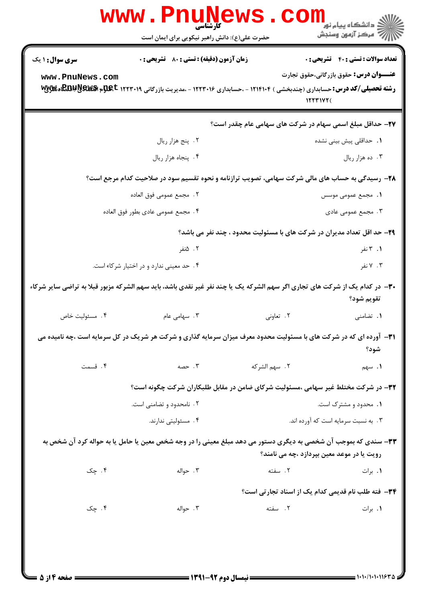|                                                                                                                            | <b>www.Phun</b><br>کارشناسی<br>حضرت علی(ع): دانش راهبر نیکویی برای ایمان است                                                   |                | ڪ دانشڪاه پيا <sub>م</sub> نور<br><mark>√</mark> مرڪز آزمون وسنڊش               |  |
|----------------------------------------------------------------------------------------------------------------------------|--------------------------------------------------------------------------------------------------------------------------------|----------------|---------------------------------------------------------------------------------|--|
| <b>سری سوال : ۱ یک</b>                                                                                                     | <b>زمان آزمون (دقیقه) : تستی : 80 ٪ تشریحی : 0</b>                                                                             |                | <b>تعداد سوالات : تستي : 40 - تشريحي : 0</b>                                    |  |
| www.PnuNews.com                                                                                                            | <b>رشته تحصیلی/کد درس:</b> حسابداری (چندبخشی ) ۱۲۱۴۱۰۴ - ،حسابداری ۱۲۲۳۰۱۶ - ،مدیریت بازرگانی ۱۲۲۳۰۱۹ <b>EBBUUS+ تاپ</b> ی تاپ |                | <b>عنــــوان درس:</b> حقوق بازرگانی،حقوق تجارت<br>15571Y7(                      |  |
|                                                                                                                            |                                                                                                                                |                | ۲۷– حداقل مبلغ اسمی سهام در شرکت های سهامی عام چقدر است؟                        |  |
|                                                                                                                            | ۰۲ پنج هزار ريال                                                                                                               |                | <b>۱.</b> حداقلی پیش بینی نشده                                                  |  |
|                                                                                                                            | ۰۴ پنجاه هزار ريال                                                                                                             |                | ۰۳ ده هزار ريال                                                                 |  |
|                                                                                                                            | ۲۸- رسیدگی به حساب های مالی شرکت سهامی، تصویب ترازنامه و نحوه تقسیم سود در صلاحیت کدام مرجع است؟                               |                |                                                                                 |  |
|                                                                                                                            | ٢ . مجمع عمومي فوق العاده                                                                                                      |                | <b>۱.</b> مجمع عمومی موسس                                                       |  |
|                                                                                                                            | ۴ . مجمع عمومي عادي بطور فوق العاده                                                                                            |                | ۰۳ مجمع عمومی عادی                                                              |  |
|                                                                                                                            |                                                                                                                                |                | <b>۲۹</b> - حد اقل تعداد مدیران در شرکت های با مسئولیت محدود ، چند نفر می باشد؟ |  |
|                                                                                                                            | ۰۲ ۵نفر                                                                                                                        |                | ۰۱ تفر                                                                          |  |
|                                                                                                                            | ۰۴ حد معینی ندارد و در اختیار شرکاء است.                                                                                       |                | ۰۳ نفر                                                                          |  |
|                                                                                                                            | ۳۰- در کدام یک از شرکت های تجاری اگر سهم الشرکه یک یا چند نفر غیر نقدی باشد، باید سهم الشرکه مزبور قبلا به تراضی سایر شرکاء    |                | تقويم شود؟                                                                      |  |
| ۰۴ مسئوليت خاص                                                                                                             | ۰۳ سهامی عام                                                                                                                   | ۰۲ تعاونی      | ۰۱ تضامنی                                                                       |  |
| ۳۱- آورده ای که در شرکت های با مسئولیت محدود معرف میزان سرمایه گذاری و شرکت هر شریک در کل سرمایه است ،چه نامیده می<br>شود؟ |                                                                                                                                |                |                                                                                 |  |
| ۰۴ قسمت                                                                                                                    | ۰۳ حصه                                                                                                                         | ٢.  سهم الشركه | ١. سهم                                                                          |  |
|                                                                                                                            | ۳۲- در شرکت مختلط غیر سهامی ،مسئولیت شرکای ضامن در مقابل طلبکاران شرکت چگونه است؟                                              |                |                                                                                 |  |
|                                                                                                                            | ۲ . نامحدود و تضامنی است.                                                                                                      |                | ۰۱ محدود و مشترک است.                                                           |  |
|                                                                                                                            | ۰۴ مسئولیتی ندارند.                                                                                                            |                | ۰۳ . به نسبت سرمایه است که آورده اند.                                           |  |
|                                                                                                                            | ۳۳– سندی که بموجب آن شخصی به دیگری دستور می دهد مبلغ معینی را در وجه شخص معین یا حامل یا به حواله کرد آن شخص به                |                | رویت یا در موعد معین بپردازد ،چه می نامند؟                                      |  |
| ۰۴ چک                                                                                                                      | ۰۳ حواله                                                                                                                       | ۲. سفته        | ٠١. برات                                                                        |  |
|                                                                                                                            |                                                                                                                                |                | <b>۳۴-</b> فته طلب نام قدیمی کدام یک از اسناد تجارتی است؟                       |  |
| ۰۴ چک                                                                                                                      | ۰۳ حواله                                                                                                                       | ٢. سفته        | ٠١. برات                                                                        |  |
|                                                                                                                            |                                                                                                                                |                |                                                                                 |  |